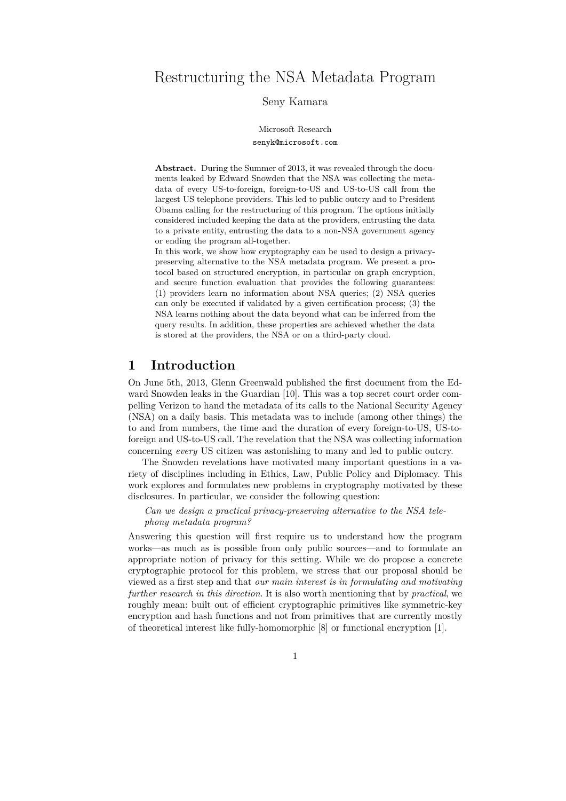# Restructuring the NSA Metadata Program

#### Seny Kamara

#### Microsoft Research

#### senyk@microsoft.com

**Abstract.** During the Summer of 2013, it was revealed through the documents leaked by Edward Snowden that the NSA was collecting the metadata of every US-to-foreign, foreign-to-US and US-to-US call from the largest US telephone providers. This led to public outcry and to President Obama calling for the restructuring of this program. The options initially considered included keeping the data at the providers, entrusting the data to a private entity, entrusting the data to a non-NSA government agency or ending the program all-together.

In this work, we show how cryptography can be used to design a privacypreserving alternative to the NSA metadata program. We present a protocol based on structured encryption, in particular on graph encryption, and secure function evaluation that provides the following guarantees: (1) providers learn no information about NSA queries; (2) NSA queries can only be executed if validated by a given certification process; (3) the NSA learns nothing about the data beyond what can be inferred from the query results. In addition, these properties are achieved whether the data is stored at the providers, the NSA or on a third-party cloud.

### **1 Introduction**

On June 5th, 2013, Glenn Greenwald published the first document from the Edward Snowden leaks in the Guardian [10]. This was a top secret court order compelling Verizon to hand the metadata of its calls to the National Security Agency (NSA) on a daily basis. This metadata was to include (among other things) the to and from numbers, the time and the duration of every foreign-to-US, US-toforeign and US-to-US call. The revelation that the NSA was collecting information concerning *every* US citizen was astonishing to many and led to public outcry.

The Snowden revelations have motivated many important questions in a variety of disciplines including in Ethics, Law, Public Policy and Diplomacy. This work explores and formulates new problems in cryptography motivated by these disclosures. In particular, we consider the following question:

*Can we design a practical privacy-preserving alternative to the NSA telephony metadata program?*

Answering this question will first require us to understand how the program works—as much as is possible from only public sources—and to formulate an appropriate notion of privacy for this setting. While we do propose a concrete cryptographic protocol for this problem, we stress that our proposal should be viewed as a first step and that *our main interest is in formulating and motivating further research in this direction*. It is also worth mentioning that by *practical*, we roughly mean: built out of efficient cryptographic primitives like symmetric-key encryption and hash functions and not from primitives that are currently mostly of theoretical interest like fully-homomorphic [8] or functional encryption [1].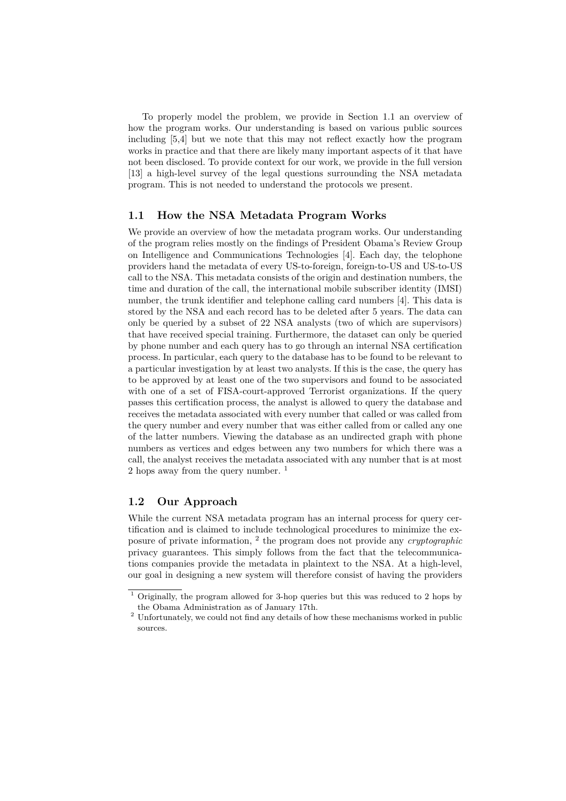To properly model the problem, we provide in Section 1.1 an overview of how the program works. Our understanding is based on various public sources including [5,4] but we note that this may not reflect exactly how the program works in practice and that there are likely many important aspects of it that have not been disclosed. To provide context for our work, we provide in the full version [13] a high-level survey of the legal questions surrounding the NSA metadata program. This is not needed to understand the protocols we present.

#### **1.1 How the NSA Metadata Program Works**

We provide an overview of how the metadata program works. Our understanding of the program relies mostly on the findings of President Obama's Review Group on Intelligence and Communications Technologies [4]. Each day, the telophone providers hand the metadata of every US-to-foreign, foreign-to-US and US-to-US call to the NSA. This metadata consists of the origin and destination numbers, the time and duration of the call, the international mobile subscriber identity (IMSI) number, the trunk identifier and telephone calling card numbers [4]. This data is stored by the NSA and each record has to be deleted after 5 years. The data can only be queried by a subset of 22 NSA analysts (two of which are supervisors) that have received special training. Furthermore, the dataset can only be queried by phone number and each query has to go through an internal NSA certification process. In particular, each query to the database has to be found to be relevant to a particular investigation by at least two analysts. If this is the case, the query has to be approved by at least one of the two supervisors and found to be associated with one of a set of FISA-court-approved Terrorist organizations. If the query passes this certification process, the analyst is allowed to query the database and receives the metadata associated with every number that called or was called from the query number and every number that was either called from or called any one of the latter numbers. Viewing the database as an undirected graph with phone numbers as vertices and edges between any two numbers for which there was a call, the analyst receives the metadata associated with any number that is at most 2 hops away from the query number. <sup>1</sup>

#### **1.2 Our Approach**

While the current NSA metadata program has an internal process for query certification and is claimed to include technological procedures to minimize the exposure of private information, <sup>2</sup> the program does not provide any *cryptographic* privacy guarantees. This simply follows from the fact that the telecommunications companies provide the metadata in plaintext to the NSA. At a high-level, our goal in designing a new system will therefore consist of having the providers

<sup>1</sup> Originally, the program allowed for 3-hop queries but this was reduced to 2 hops by the Obama Administration as of January 17th.

 $^{\rm 2}$  Unfortunately, we could not find any details of how these mechanisms worked in public sources.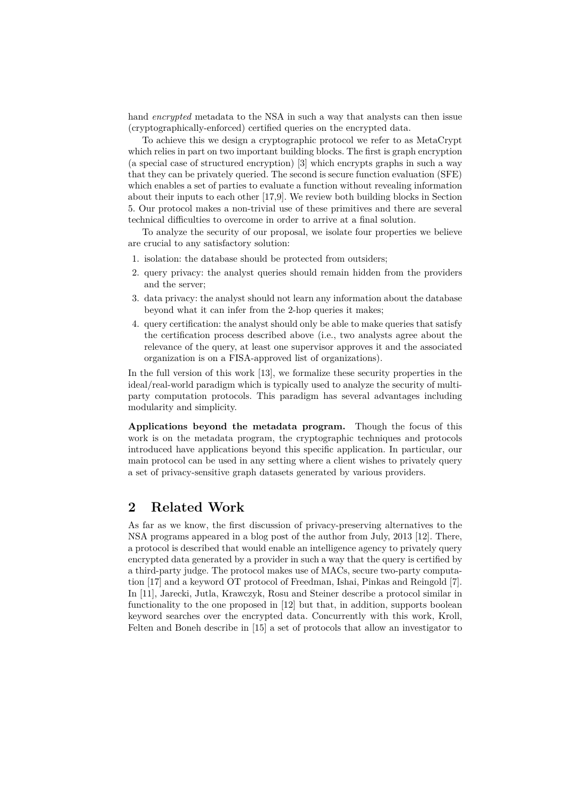hand *encrypted* metadata to the NSA in such a way that analysts can then issue (cryptographically-enforced) certified queries on the encrypted data.

To achieve this we design a cryptographic protocol we refer to as MetaCrypt which relies in part on two important building blocks. The first is graph encryption (a special case of structured encryption) [3] which encrypts graphs in such a way that they can be privately queried. The second is secure function evaluation (SFE) which enables a set of parties to evaluate a function without revealing information about their inputs to each other [17,9]. We review both building blocks in Section 5. Our protocol makes a non-trivial use of these primitives and there are several technical difficulties to overcome in order to arrive at a final solution.

To analyze the security of our proposal, we isolate four properties we believe are crucial to any satisfactory solution:

- 1. isolation: the database should be protected from outsiders;
- 2. query privacy: the analyst queries should remain hidden from the providers and the server;
- 3. data privacy: the analyst should not learn any information about the database beyond what it can infer from the 2-hop queries it makes;
- 4. query certification: the analyst should only be able to make queries that satisfy the certification process described above (i.e., two analysts agree about the relevance of the query, at least one supervisor approves it and the associated organization is on a FISA-approved list of organizations).

In the full version of this work [13], we formalize these security properties in the ideal/real-world paradigm which is typically used to analyze the security of multiparty computation protocols. This paradigm has several advantages including modularity and simplicity.

**Applications beyond the metadata program.** Though the focus of this work is on the metadata program, the cryptographic techniques and protocols introduced have applications beyond this specific application. In particular, our main protocol can be used in any setting where a client wishes to privately query a set of privacy-sensitive graph datasets generated by various providers.

### **2 Related Work**

As far as we know, the first discussion of privacy-preserving alternatives to the NSA programs appeared in a blog post of the author from July, 2013 [12]. There, a protocol is described that would enable an intelligence agency to privately query encrypted data generated by a provider in such a way that the query is certified by a third-party judge. The protocol makes use of MACs, secure two-party computation [17] and a keyword OT protocol of Freedman, Ishai, Pinkas and Reingold [7]. In [11], Jarecki, Jutla, Krawczyk, Rosu and Steiner describe a protocol similar in functionality to the one proposed in [12] but that, in addition, supports boolean keyword searches over the encrypted data. Concurrently with this work, Kroll, Felten and Boneh describe in [15] a set of protocols that allow an investigator to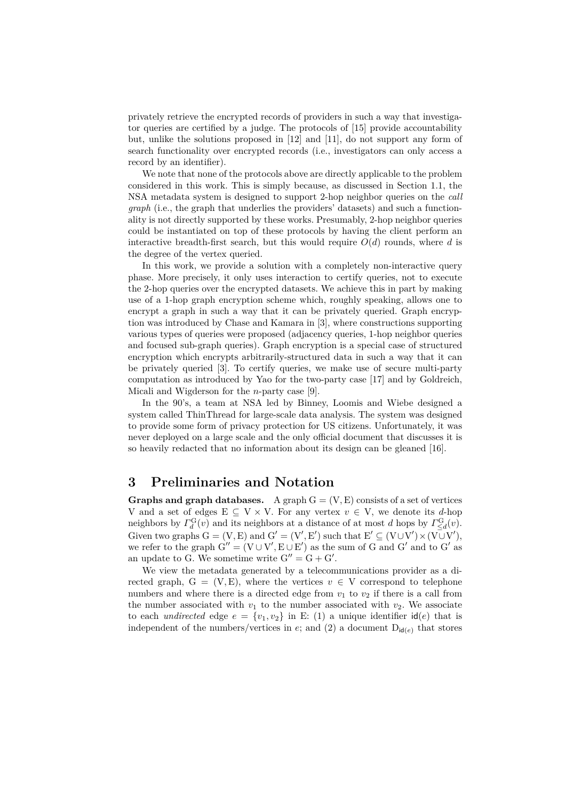privately retrieve the encrypted records of providers in such a way that investigator queries are certified by a judge. The protocols of [15] provide accountability but, unlike the solutions proposed in [12] and [11], do not support any form of search functionality over encrypted records (i.e., investigators can only access a record by an identifier).

We note that none of the protocols above are directly applicable to the problem considered in this work. This is simply because, as discussed in Section 1.1, the NSA metadata system is designed to support 2-hop neighbor queries on the *call graph* (i.e., the graph that underlies the providers' datasets) and such a functionality is not directly supported by these works. Presumably, 2-hop neighbor queries could be instantiated on top of these protocols by having the client perform an interactive breadth-first search, but this would require  $O(d)$  rounds, where d is the degree of the vertex queried.

In this work, we provide a solution with a completely non-interactive query phase. More precisely, it only uses interaction to certify queries, not to execute the 2-hop queries over the encrypted datasets. We achieve this in part by making use of a 1-hop graph encryption scheme which, roughly speaking, allows one to encrypt a graph in such a way that it can be privately queried. Graph encryption was introduced by Chase and Kamara in [3], where constructions supporting various types of queries were proposed (adjacency queries, 1-hop neighbor queries and focused sub-graph queries). Graph encryption is a special case of structured encryption which encrypts arbitrarily-structured data in such a way that it can be privately queried [3]. To certify queries, we make use of secure multi-party computation as introduced by Yao for the two-party case [17] and by Goldreich, Micali and Wigderson for the *n*-party case [9].

In the 90's, a team at NSA led by Binney, Loomis and Wiebe designed a system called ThinThread for large-scale data analysis. The system was designed to provide some form of privacy protection for US citizens. Unfortunately, it was never deployed on a large scale and the only official document that discusses it is so heavily redacted that no information about its design can be gleaned [16].

### **3 Preliminaries and Notation**

**Graphs and graph databases.** A graph  $G = (V, E)$  consists of a set of vertices V and a set of edges  $E \subseteq V \times V$ . For any vertex  $v \in V$ , we denote its *d*-hop neighbors by  $\Gamma_d^{\text{G}}(v)$  and its neighbors at a distance of at most *d* hops by  $\Gamma_{\leq d}^{\text{G}}(v)$ . Given two graphs  $G = (V, E)$  and  $G' = (V', E')$  such that  $E' \subseteq (V \cup V') \times (V \cup V')$ , we refer to the graph  $G'' = (V \cup V', E \cup E')$  as the sum of G and G' and to G' as an update to G. We sometime write  $G'' = G + G'$ .

We view the metadata generated by a telecommunications provider as a directed graph,  $G = (V, E)$ , where the vertices  $v \in V$  correspond to telephone numbers and where there is a directed edge from  $v_1$  to  $v_2$  if there is a call from the number associated with  $v_1$  to the number associated with  $v_2$ . We associate to each *undirected* edge  $e = \{v_1, v_2\}$  in E: (1) a unique identifier  $\mathsf{id}(e)$  that is independent of the numbers/vertices in  $e$ ; and (2) a document  $D_{\mathsf{id}(e)}$  that stores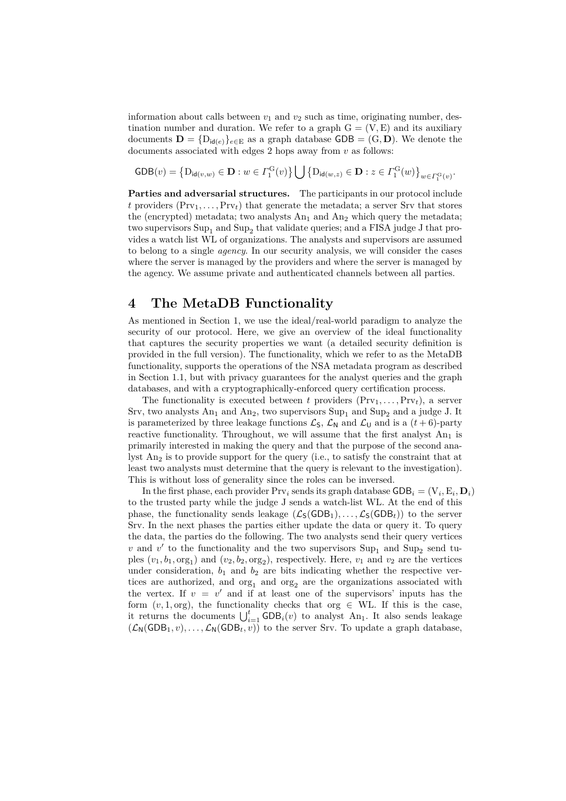information about calls between  $v_1$  and  $v_2$  such as time, originating number, destination number and duration. We refer to a graph  $G = (V, E)$  and its auxiliary documents  $\mathbf{D} = \{D_{\text{id}(e)}\}_{e \in E}$  as a graph database  $\mathsf{GDB} = (\mathbf{G}, \mathbf{D})$ . We denote the documents associated with edges 2 hops away from *v* as follows:

$$
GDB(v) = \left\{ D_{\mathrm{id}(v,w)} \in \mathbf{D} : w \in \Gamma_1^{\mathrm{G}}(v) \right\} \bigcup \left\{ D_{\mathrm{id}(w,z)} \in \mathbf{D} : z \in \Gamma_1^{\mathrm{G}}(w) \right\}_{w \in \Gamma_1^{\mathrm{G}}(v)}.
$$

**Parties and adversarial structures.** The participants in our protocol include *t* providers  $(\text{Prv}_1, \ldots, \text{Prv}_t)$  that generate the metadata; a server Srv that stores the (encrypted) metadata; two analysts  $An_1$  and  $An_2$  which query the metadata; two supervisors  $\operatorname{Sup}_1$  and  $\operatorname{Sup}_2$  that validate queries; and a FISA judge J that provides a watch list WL of organizations. The analysts and supervisors are assumed to belong to a single *agency*. In our security analysis, we will consider the cases where the server is managed by the providers and where the server is managed by the agency. We assume private and authenticated channels between all parties.

### **4 The MetaDB Functionality**

As mentioned in Section 1, we use the ideal/real-world paradigm to analyze the security of our protocol. Here, we give an overview of the ideal functionality that captures the security properties we want (a detailed security definition is provided in the full version). The functionality, which we refer to as the MetaDB functionality, supports the operations of the NSA metadata program as described in Section 1.1, but with privacy guarantees for the analyst queries and the graph databases, and with a cryptographically-enforced query certification process.

The functionality is executed between *t* providers  $(Prv_1, \ldots, Prv_t)$ , a server Srv, two analysts  $An_1$  and  $An_2$ , two supervisors  $Sup_1$  and  $Sup_2$  and a judge J. It is parameterized by three leakage functions  $\mathcal{L}_S$ ,  $\mathcal{L}_N$  and  $\mathcal{L}_U$  and is a  $(t+6)$ -party reactive functionality. Throughout, we will assume that the first analyst  $An_1$  is primarily interested in making the query and that the purpose of the second analyst An<sub>2</sub> is to provide support for the query (i.e., to satisfy the constraint that at least two analysts must determine that the query is relevant to the investigation). This is without loss of generality since the roles can be inversed.

In the first phase, each provider  $Prv_i$  sends its graph database  $GDB_i = (V_i, E_i, D_i)$ to the trusted party while the judge J sends a watch-list WL. At the end of this phase, the functionality sends leakage  $(\mathcal{L}_S(GDB_1), \ldots, \mathcal{L}_S(GDB_t))$  to the server Srv. In the next phases the parties either update the data or query it. To query the data, the parties do the following. The two analysts send their query vertices *v* and *v*<sup> $\prime$ </sup> to the functionality and the two supervisors  $\text{Sup}_{1}$  and  $\text{Sup}_{2}$  send tuples  $(v_1, b_1, \text{org}_1)$  and  $(v_2, b_2, \text{org}_2)$ , respectively. Here,  $v_1$  and  $v_2$  are the vertices under consideration,  $b_1$  and  $b_2$  are bits indicating whether the respective vertices are authorized, and  $\text{org}_1$  and  $\text{org}_2$  are the organizations associated with the vertex. If  $v = v'$  and if at least one of the supervisors' inputs has the form  $(v, 1, \text{org})$ , the functionality checks that org  $\in$  WL. If this is the case, it returns the documents  $\bigcup_{i=1}^t \overline{GDB}_i(v)$  to analyst An<sub>1</sub>. It also sends leakage  $(\mathcal{L}_{\mathsf{N}}(\mathsf{GDB}_1, v), \ldots, \mathcal{L}_{\mathsf{N}}(\mathsf{GDB}_t, v))$  to the server Srv. To update a graph database,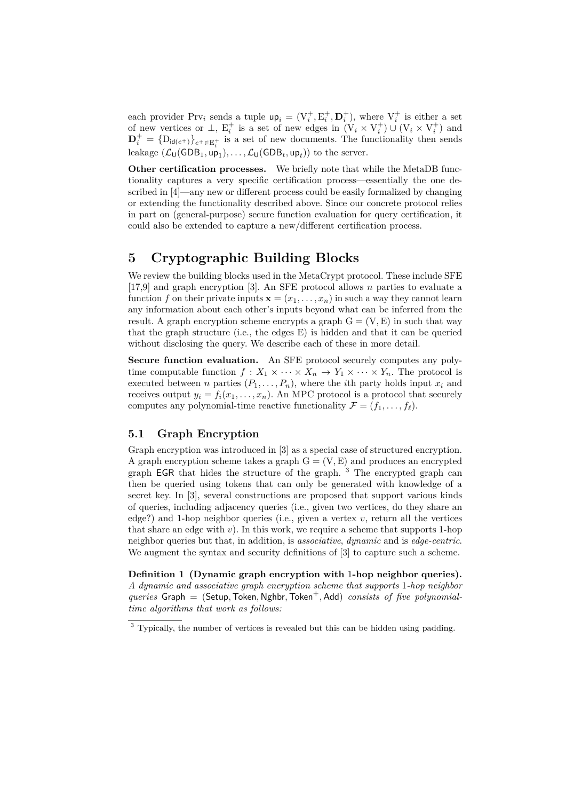each provider Prv<sub>i</sub> sends a tuple  $up_i = (V_i^+, E_i^+, D_i^+)$ , where  $V_i^+$  is either a set of new vertices or  $\perp$ ,  $E_i^+$  is a set of new edges in  $(V_i \times V_i^+) \cup (V_i \times V_i^+)$  and  $\mathbf{D}_i^+ = {\{\mathrm{D}_{\mathsf{id}(e^+)}\}}_{e^+ \in \mathrm{E}_i^+}$  is a set of new documents. The functionality then sends leakage  $(\mathcal{L}_{\mathsf{U}}(\mathsf{GDB}_1, \mathsf{up}_1), \ldots, \mathcal{L}_{\mathsf{U}}(\mathsf{GDB}_t, \mathsf{up}_t))$  to the server.

**Other certification processes.** We briefly note that while the MetaDB functionality captures a very specific certification process—essentially the one described in [4]—any new or different process could be easily formalized by changing or extending the functionality described above. Since our concrete protocol relies in part on (general-purpose) secure function evaluation for query certification, it could also be extended to capture a new/different certification process.

### **5 Cryptographic Building Blocks**

We review the building blocks used in the MetaCrypt protocol. These include SFE [17,9] and graph encryption [3]. An SFE protocol allows *n* parties to evaluate a function *f* on their private inputs  $\mathbf{x} = (x_1, \ldots, x_n)$  in such a way they cannot learn any information about each other's inputs beyond what can be inferred from the result. A graph encryption scheme encrypts a graph  $G = (V, E)$  in such that way that the graph structure (i.e., the edges E) is hidden and that it can be queried without disclosing the query. We describe each of these in more detail.

**Secure function evaluation.** An SFE protocol securely computes any polytime computable function  $f: X_1 \times \cdots \times X_n \to Y_1 \times \cdots \times Y_n$ . The protocol is executed between *n* parties  $(P_1, \ldots, P_n)$ , where the *i*th party holds input  $x_i$  and receives output  $y_i = f_i(x_1, \ldots, x_n)$ . An MPC protocol is a protocol that securely computes any polynomial-time reactive functionality  $\mathcal{F} = (f_1, \ldots, f_\ell)$ .

#### **5.1 Graph Encryption**

Graph encryption was introduced in [3] as a special case of structured encryption. A graph encryption scheme takes a graph  $G = (V, E)$  and produces an encrypted graph EGR that hides the structure of the graph. <sup>3</sup> The encrypted graph can then be queried using tokens that can only be generated with knowledge of a secret key. In [3], several constructions are proposed that support various kinds of queries, including adjacency queries (i.e., given two vertices, do they share an edge?) and 1-hop neighbor queries (i.e., given a vertex *v*, return all the vertices that share an edge with  $v$ ). In this work, we require a scheme that supports 1-hop neighbor queries but that, in addition, is *associative*, *dynamic* and is *edge-centric*. We augment the syntax and security definitions of [3] to capture such a scheme.

**Definition 1 (Dynamic graph encryption with** 1**-hop neighbor queries).** *A dynamic and associative graph encryption scheme that supports* 1*-hop neighbor queries* Graph = (Setup*,*Token*,* Nghbr*,*Token<sup>+</sup>*,* Add) *consists of five polynomialtime algorithms that work as follows:*

<sup>3</sup> Typically, the number of vertices is revealed but this can be hidden using padding.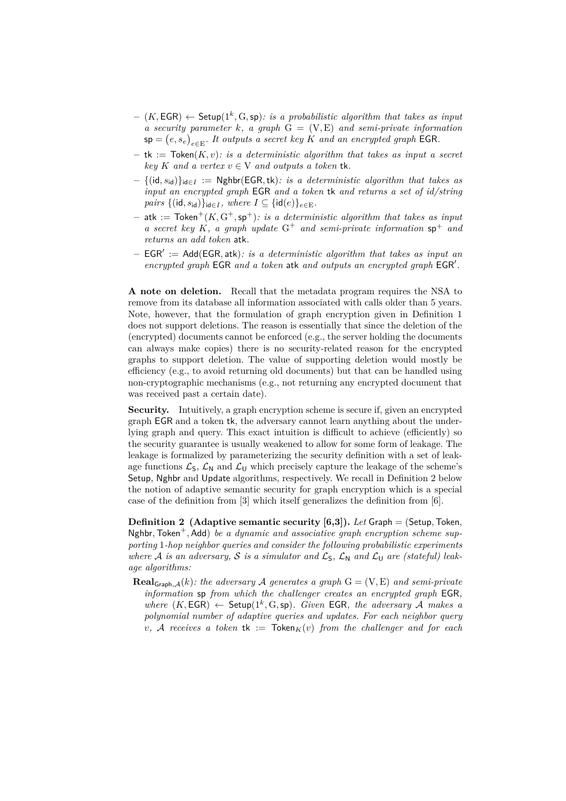- $(K, \textsf{EGR}) \leftarrow$  Setup $(1^k, G, \textsf{sp})$ : is a probabilistic algorithm that takes as input *a security parameter k, a graph* G = (V*,*E) *and semi-private information*  $\mathsf{sp} = \bigl( e, s_e \bigr)_{e \in \mathbb{E}}$ *. It outputs a secret key*  $K$  *and an encrypted graph* EGR.
- $-$  tk := Token( $K, v$ )*: is a deterministic algorithm that takes as input a secret*  $key K$  *and a vertex*  $v \in V$  *and outputs a token* tk.
- **–** {(id*, s*id)}id∈*<sup>I</sup>* := Nghbr(EGR*,*tk)*: is a deterministic algorithm that takes as input an encrypted graph* EGR *and a token* tk *and returns a set of id/string pairs*  $\{(\text{id}, s_{\text{id}})\}_{\text{id}\in I}$ *, where*  $I \subseteq \{ \text{id}(e) \}_{e \in E}$ *.*
- $-$  atk :=  $\text{Token}^+(K, \text{G}^+, \text{sp}^+)$ : *is a deterministic algorithm that takes as input a secret key K, a graph update* G <sup>+</sup> *and semi-private information* sp<sup>+</sup> *and returns an add token* atk*.*
- **–** EGR<sup>0</sup> := Add(EGR*,* atk)*: is a deterministic algorithm that takes as input an encrypted graph* EGR and a token atk and outputs an encrypted graph EGR'.

**A note on deletion.** Recall that the metadata program requires the NSA to remove from its database all information associated with calls older than 5 years. Note, however, that the formulation of graph encryption given in Definition 1 does not support deletions. The reason is essentially that since the deletion of the (encrypted) documents cannot be enforced (e.g., the server holding the documents can always make copies) there is no security-related reason for the encrypted graphs to support deletion. The value of supporting deletion would mostly be efficiency (e.g., to avoid returning old documents) but that can be handled using non-cryptographic mechanisms (e.g., not returning any encrypted document that was received past a certain date).

**Security.** Intuitively, a graph encryption scheme is secure if, given an encrypted graph EGR and a token tk, the adversary cannot learn anything about the underlying graph and query. This exact intuition is difficult to achieve (efficiently) so the security guarantee is usually weakened to allow for some form of leakage. The leakage is formalized by parameterizing the security definition with a set of leakage functions  $\mathcal{L}_S$ ,  $\mathcal{L}_N$  and  $\mathcal{L}_U$  which precisely capture the leakage of the scheme's Setup, Nghbr and Update algorithms, respectively. We recall in Definition 2 below the notion of adaptive semantic security for graph encryption which is a special case of the definition from [3] which itself generalizes the definition from [6].

**Definition 2 (Adaptive semantic security [6,3]).** *Let* Graph = (Setup*,*Token*,* Nghbr*,*Token+*,* Add) *be a dynamic and associative graph encryption scheme supporting* 1*-hop neighbor queries and consider the following probabilistic experiments* where A *is an adversary*, S *is a simulator and*  $\mathcal{L}_S$ ,  $\mathcal{L}_N$  *and*  $\mathcal{L}_U$  *are (stateful) leakage algorithms:*

**Real**<sub>Graph</sub><sub> $\mathcal{A}(k)$ *: the adversary* A generates a graph  $G = (V, E)$  and semi-private</sub> *information* sp *from which the challenger creates an encrypted graph* EGR*,*  $where (K, \text{EGR}) \leftarrow \text{Setup}(1^k, \text{G}, \text{sp})$ . Given EGR, the adversary A makes a *polynomial number of adaptive queries and updates. For each neighbor query v*, A receives a token  $tk := \text{Token}_K(v)$  from the challenger and for each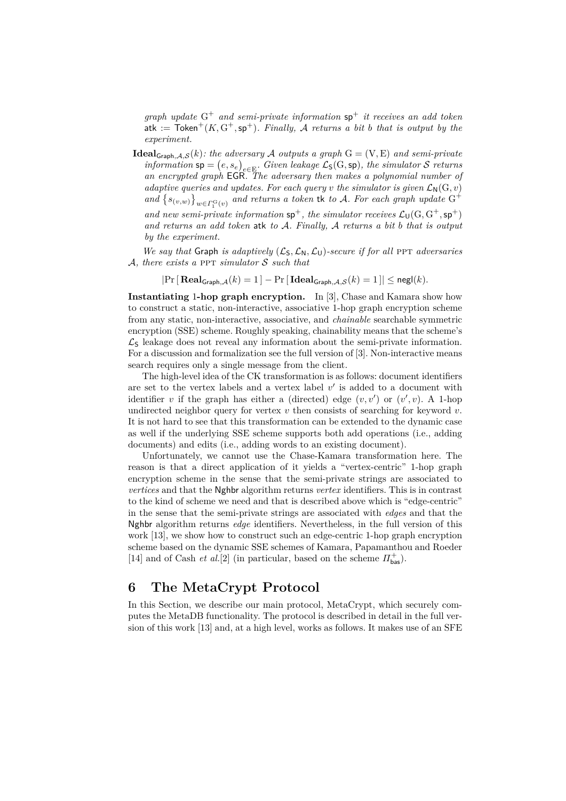*graph update* G <sup>+</sup> *and semi-private information* sp<sup>+</sup> *it receives an add token* atk :=  $\text{Token}^+(K, G^+, \text{sp}^+)$ *. Finally, A returns a bit b that is output by the experiment.*

**Ideal**<sub>Graph</sub>, $A, S(k)$ *: the adversary* A *outputs a graph*  $G = (V, E)$  *and semi-private information*  $\mathsf{sp} = (e, s_e)_{e \in E}$ . Given leakage  $\mathcal{L}_\mathsf{S}(G, \mathsf{sp})$ *, the simulator* S returns *an encrypted graph* EGR*. The adversary then makes a polynomial number of adaptive queries and updates. For each query v* the simulator is given  $\mathcal{L}_{N}(G, v)$  $and$   $\{s_{(v,w)}\}_{w \in \Gamma_1^{\mathbf{G}}(v)}$  and returns a token tk *to* A*. For each graph update*  $\mathbf{G}^+$ and new semi-private information  $sp^+$ , the simulator receives  $\mathcal{L}_U(G, G^+, sp^+)$ *and returns an add token* atk *to* A*. Finally,* A *returns a bit b that is output by the experiment.*

*We say that* Graph *is adaptively*  $(L_S, L_N, L_U)$ *-secure if for all* PPT *adversaries* A*, there exists a* ppt *simulator* S *such that*

 $|\Pr[\text{Real}_{\text{Graph }A}(k) = 1] - \Pr[\text{Ideal}_{\text{Graph }A} S(k) = 1]| \leq \text{negl}(k).$ 

**Instantiating** 1**-hop graph encryption.** In [3], Chase and Kamara show how to construct a static, non-interactive, associative 1-hop graph encryption scheme from any static, non-interactive, associative, and *chainable* searchable symmetric encryption (SSE) scheme. Roughly speaking, chainability means that the scheme's  $\mathcal{L}_\mathsf{S}$  leakage does not reveal any information about the semi-private information. For a discussion and formalization see the full version of [3]. Non-interactive means search requires only a single message from the client.

The high-level idea of the CK transformation is as follows: document identifiers are set to the vertex labels and a vertex label  $v'$  is added to a document with identifier *v* if the graph has either a (directed) edge  $(v, v')$  or  $(v', v)$ . A 1-hop undirected neighbor query for vertex  $v$  then consists of searching for keyword  $v$ . It is not hard to see that this transformation can be extended to the dynamic case as well if the underlying SSE scheme supports both add operations (i.e., adding documents) and edits (i.e., adding words to an existing document).

Unfortunately, we cannot use the Chase-Kamara transformation here. The reason is that a direct application of it yields a "vertex-centric" 1-hop graph encryption scheme in the sense that the semi-private strings are associated to *vertices* and that the Nghbr algorithm returns *vertex* identifiers. This is in contrast to the kind of scheme we need and that is described above which is "edge-centric" in the sense that the semi-private strings are associated with *edges* and that the Nghbr algorithm returns *edge* identifiers. Nevertheless, in the full version of this work [13], we show how to construct such an edge-centric 1-hop graph encryption scheme based on the dynamic SSE schemes of Kamara, Papamanthou and Roeder [14] and of Cash *et al.*[2] (in particular, based on the scheme  $\varPi_{\text{bas}}^+$ ).

## **6 The MetaCrypt Protocol**

In this Section, we describe our main protocol, MetaCrypt, which securely computes the MetaDB functionality. The protocol is described in detail in the full version of this work [13] and, at a high level, works as follows. It makes use of an SFE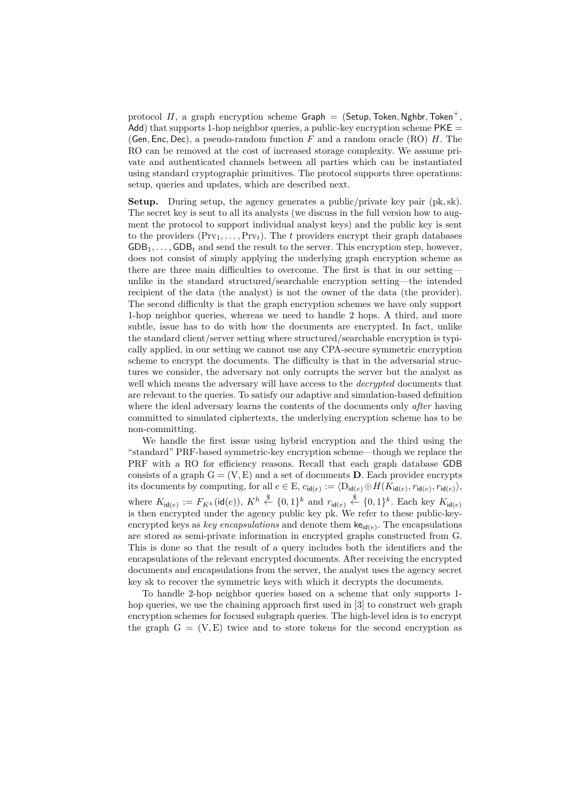protocol *Π*, a graph encryption scheme Graph = (Setup*,*Token*,* Nghbr*,*Token<sup>+</sup>*,* Add) that supports 1-hop neighbor queries, a public-key encryption scheme  $PKE =$ (Gen*,* Enc*,* Dec), a pseudo-random function *F* and a random oracle (RO) *H*. The RO can be removed at the cost of increased storage complexity. We assume private and authenticated channels between all parties which can be instantiated using standard cryptographic primitives. The protocol supports three operations: setup, queries and updates, which are described next.

**Setup.** During setup, the agency generates a public/private key pair (pk*,*sk). The secret key is sent to all its analysts (we discuss in the full version how to augment the protocol to support individual analyst keys) and the public key is sent to the providers  $(\text{Prv}_1, \ldots, \text{Prv}_t)$ . The *t* providers encrypt their graph databases  $GDB<sub>1</sub>, \ldots, GDB<sub>t</sub>$  and send the result to the server. This encryption step, however, does not consist of simply applying the underlying graph encryption scheme as there are three main difficulties to overcome. The first is that in our setting unlike in the standard structured/searchable encryption setting—the intended recipient of the data (the analyst) is not the owner of the data (the provider). The second difficulty is that the graph encryption schemes we have only support 1-hop neighbor queries, whereas we need to handle 2 hops. A third, and more subtle, issue has to do with how the documents are encrypted. In fact, unlike the standard client/server setting where structured/searchable encryption is typically applied, in our setting we cannot use any CPA-secure symmetric encryption scheme to encrypt the documents. The difficulty is that in the adversarial structures we consider, the adversary not only corrupts the server but the analyst as well which means the adversary will have access to the *decrypted* documents that are relevant to the queries. To satisfy our adaptive and simulation-based definition where the ideal adversary learns the contents of the documents only *after* having committed to simulated ciphertexts, the underlying encryption scheme has to be non-committing.

We handle the first issue using hybrid encryption and the third using the "standard" PRF-based symmetric-key encryption scheme—though we replace the PRF with a RO for efficiency reasons. Recall that each graph database GDB consists of a graph  $G = (V, E)$  and a set of documents **D**. Each provider encrypts its documents by computing, for all  $e \in E$ ,  $c_{\text{id}(e)} := \langle D_{\text{id}(e)} \oplus H(K_{\text{id}(e)}, r_{\text{id}(e)}, r_{\text{id}(e)})$ , where  $K_{\mathsf{id}(e)} := F_{K^h}(\mathsf{id}(e)), K^h \stackrel{\$}{\leftarrow} \{0,1\}^k$  and  $r_{\mathsf{id}(e)} \stackrel{\$}{\leftarrow} \{0,1\}^k$ . Each key  $K_{\mathsf{id}(e)}$ is then encrypted under the agency public key pk. We refer to these public-keyencrypted keys as *key encapsulations* and denote them  $ke_{id(e)}$ . The encapsulations are stored as semi-private information in encrypted graphs constructed from G. This is done so that the result of a query includes both the identifiers and the encapsulations of the relevant encrypted documents. After receiving the encrypted documents and encapsulations from the server, the analyst uses the agency secret key sk to recover the symmetric keys with which it decrypts the documents.

To handle 2-hop neighbor queries based on a scheme that only supports 1 hop queries, we use the chaining approach first used in [3] to construct web graph encryption schemes for focused subgraph queries. The high-level idea is to encrypt the graph  $G = (V, E)$  twice and to store tokens for the second encryption as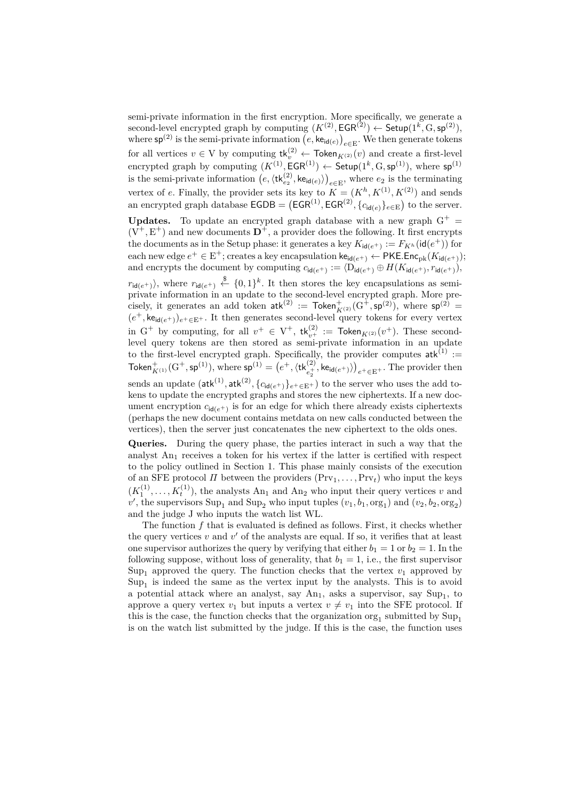semi-private information in the first encryption. More specifically, we generate a second-level encrypted graph by computing  $(K^{(2)}, \text{EGR}^{(2)}) \leftarrow \text{Setup}(1^k, G, \text{sp}^{(2)})$ , where  $sp^{(2)}$  is the semi-private information  $(e, \text{ke}_{\text{id}(e)})_{e \in E}$ . We then generate tokens for all vertices  $v \in V$  by computing  $\mathsf{tk}_{v}^{(2)} \leftarrow \mathsf{Token}_{K^{(2)}}(v)$  and create a first-level encrypted graph by computing  $(K^{(1)}, \text{EGR}^{(1)}) \leftarrow \text{Setup}(1^k, G, \text{sp}^{(1)})$ , where  $\text{sp}^{(1)}$ is the semi-private information  $(e, \langle \mathsf{tk}_{e_2}^{(2)}, \mathsf{ke}_{\mathsf{id}(e)} \rangle)_{e \in \mathsf{E}}$ , where  $e_2$  is the terminating vertex of *e*. Finally, the provider sets its key to  $K = (K^h, K^{(1)}, K^{(2)})$  and sends an encrypted graph database  $\mathsf{EGDB} = \left(\mathsf{EGR}^{(1)}, \mathsf{EGR}^{(2)}, \{c_{\mathsf{id}(e)}\}_{e \in \mathcal{E}}\right)$  to the server.

**Updates.** To update an encrypted graph database with a new graph  $G^+$  =  $(V^+, E^+)$  and new documents  $D^+$ , a provider does the following. It first encrypts the documents as in the Setup phase: it generates a key  $K_{\mathsf{id}(e^+)} := F_{K^h}(\mathsf{id}(e^+))$  for  $\text{each new edge } e^+ \in \text{E}^+; \text{ creates a key encapsulation } \text{ke}_{\mathsf{id}(e^+)} \leftarrow \mathsf{PKE}.\mathsf{Enc}_{\mathrm{pk}}(K_{\mathsf{id}(e^+)});$ and encrypts the document by computing  $c_{\mathsf{id}(e^+)} := \langle D_{\mathsf{id}(e^+)} \oplus H(K_{\mathsf{id}(e^+)}, r_{\mathsf{id}(e^+)}),$  $r_{\mathsf{id}(e^+)}$ , where  $r_{\mathsf{id}(e^+)} \stackrel{\$}{\leftarrow} \{0,1\}^k$ . It then stores the key encapsulations as semiprivate information in an update to the second-level encrypted graph. More precisely, it generates an add token  $\mathsf{atk}^{(2)} := \mathsf{Token}_{K^{(2)}}^+(G^+, \mathsf{sp}^{(2)})$ , where  $\mathsf{sp}^{(2)} =$  $(e^+, \text{ke}_{\text{id}(e^+)})_e$ <sub>+∈E</sub>+. It then generates second-level query tokens for every vertex in G<sup>+</sup> by computing, for all  $v^+ \in V^+$ ,  $\mathsf{tk}_{v^+}^{(2)} := \mathsf{Token}_{K^{(2)}}(v^+)$ . These secondlevel query tokens are then stored as semi-private information in an update to the first-level encrypted graph. Specifically, the provider computes  $atk^{(1)}$  :=  $\textsf{Token}^+_{K^{(1)}}(G^+, \textsf{sp}^{(1)}), \text{ where } \textsf{sp}^{(1)} = \big(e^+, \langle \textsf{tk}_{e_2^+}^{(2)}, \textsf{ke}_{\textsf{id}(e^+)} \rangle \big)_{e^+ \in E^+}.$  The provider then sends an update  $(\textsf{atk}^{(1)}, \textsf{atk}^{(2)}, \{c_{\textsf{id}(e^+)}\}_{e^+ \in E^+})$  to the server who uses the add tokens to update the encrypted graphs and stores the new ciphertexts. If a new document encryption  $c_{\mathsf{id}(e^+)}$  is for an edge for which there already exists ciphertexts (perhaps the new document contains metdata on new calls conducted between the vertices), then the server just concatenates the new ciphertext to the olds ones.

**Queries.** During the query phase, the parties interact in such a way that the analyst  $An_1$  receives a token for his vertex if the latter is certified with respect to the policy outlined in Section 1. This phase mainly consists of the execution of an SFE protocol *Π* between the providers  $(\text{Prv}_1, \ldots, \text{Prv}_t)$  who input the keys  $(K_1^{(1)}, \ldots, K_t^{(1)})$ , the analysts An<sub>1</sub> and An<sub>2</sub> who input their query vertices *v* and  $v'$ , the supervisors  $\text{Sup}_1$  and  $\text{Sup}_2$  who input tuples  $(v_1, b_1, \text{org}_1)$  and  $(v_2, b_2, \text{org}_2)$ and the judge J who inputs the watch list WL.

The function *f* that is evaluated is defined as follows. First, it checks whether the query vertices  $v$  and  $v'$  of the analysts are equal. If so, it verifies that at least one supervisor authorizes the query by verifying that either  $b_1 = 1$  or  $b_2 = 1$ . In the following suppose, without loss of generality, that  $b_1 = 1$ , i.e., the first supervisor  $\text{Sup}_{1}$  approved the query. The function checks that the vertex  $v_1$  approved by  $Sup_1$  is indeed the same as the vertex input by the analysts. This is to avoid a potential attack where an analyst, say  $An_1$ , asks a supervisor, say  $Sup_1$ , to approve a query vertex  $v_1$  but inputs a vertex  $v \neq v_1$  into the SFE protocol. If this is the case, the function checks that the organization  $\text{org}_1$  submitted by  $\text{Sup}_1$ is on the watch list submitted by the judge. If this is the case, the function uses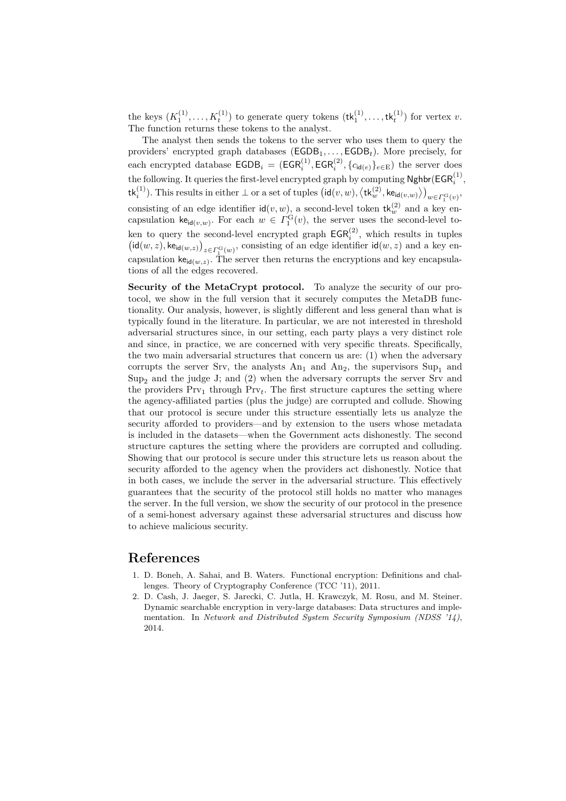the keys  $(K_1^{(1)},..., K_t^{(1)})$  to generate query tokens  $(\mathsf{tk}_1^{(1)},..., \mathsf{tk}_t^{(1)})$  for vertex *v*. The function returns these tokens to the analyst.

The analyst then sends the tokens to the server who uses them to query the providers' encrypted graph databases ( $\textsf{EGDB}_1, \ldots, \textsf{EGDB}_t$ ). More precisely, for each encrypted database  $EGDB_i = (EGR_i^{(1)}, EGR_i^{(2)}, \{c_{id(e)}\}_{e \in E})$  the server does the following. It queries the first-level encrypted graph by computing  $\mathsf{Nghbr}(\mathsf{EGR}^{(1)}_i,$  $\mathsf{t}\mathsf{k}_i^{(1)}$ ). This results in either  $\bot$  or a set of tuples  $\big(\mathsf{id}(v,w),\big<\mathsf{t}\mathsf{k}_w^{(2)},\mathsf{ke}_{\mathsf{id}(v,w)}\big>\big)_{w\in\varGamma_1^\mathsf{G}(v)},$ consisting of an edge identifier  $\mathsf{id}(v, w)$ , a second-level token  $\mathsf{tk}_{w}^{(2)}$  and a key encapsulation  $ke_{id(v,w)}$ . For each  $w \in \Gamma_1^{\mathcal{G}}(v)$ , the server uses the second-level token to query the second-level encrypted graph  $\text{EGR}_i^{(2)}$ , which results in tuples  $(i\mathsf{d}(w,z), \mathsf{ke}_{\mathsf{id}(w,z)})_{z \in \Gamma_1^{\mathsf{G}}(w)}$ , consisting of an edge identifier  $\mathsf{id}(w,z)$  and a key encapsulation  $\ker(\mathcal{L}_{id(w,z)}^{\mathcal{L}_{1}(w)}$ . The server then returns the encryptions and key encapsulations of all the edges recovered.

**Security of the MetaCrypt protocol.** To analyze the security of our protocol, we show in the full version that it securely computes the MetaDB functionality. Our analysis, however, is slightly different and less general than what is typically found in the literature. In particular, we are not interested in threshold adversarial structures since, in our setting, each party plays a very distinct role and since, in practice, we are concerned with very specific threats. Specifically, the two main adversarial structures that concern us are: (1) when the adversary corrupts the server Srv, the analysts  $An_1$  and  $An_2$ , the supervisors  $Sup_1$  and  $Sup_2$  and the judge J; and (2) when the adversary corrupts the server Srv and the providers  $Prv_1$  through  $Prv_t$ . The first structure captures the setting where the agency-affiliated parties (plus the judge) are corrupted and collude. Showing that our protocol is secure under this structure essentially lets us analyze the security afforded to providers—and by extension to the users whose metadata is included in the datasets—when the Government acts dishonestly. The second structure captures the setting where the providers are corrupted and colluding. Showing that our protocol is secure under this structure lets us reason about the security afforded to the agency when the providers act dishonestly. Notice that in both cases, we include the server in the adversarial structure. This effectively guarantees that the security of the protocol still holds no matter who manages the server. In the full version, we show the security of our protocol in the presence of a semi-honest adversary against these adversarial structures and discuss how to achieve malicious security.

### **References**

- 1. D. Boneh, A. Sahai, and B. Waters. Functional encryption: Definitions and challenges. Theory of Cryptography Conference (TCC '11), 2011.
- 2. D. Cash, J. Jaeger, S. Jarecki, C. Jutla, H. Krawczyk, M. Rosu, and M. Steiner. Dynamic searchable encryption in very-large databases: Data structures and implementation. In *Network and Distributed System Security Symposium (NDSS '14)*, 2014.